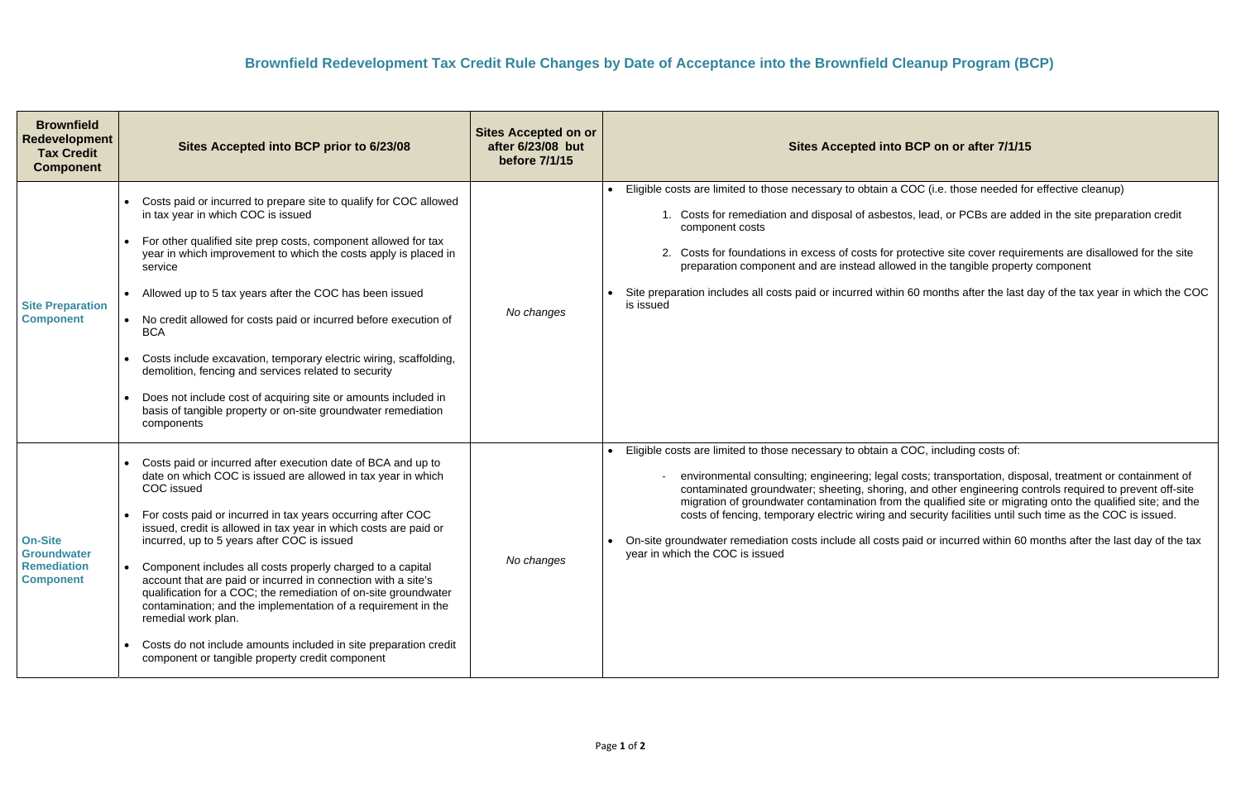## **SCP on or after 7/1/15**

DC (i.e. those needed for effective cleanup)

lead, or PCBs are added in the site preparation credit

tective site cover requirements are disallowed for the site ed in the tangible property component

 $60$  months after the last day of the tax year in which the COC

DC, including costs of:

‐ environmental consulting; engineering; legal costs; transportation, disposal, treatment or containment of contaminated groundwater; sheeting, shoring, and other engineering controls required to prevent off-site he qualified site or migrating onto the qualified site; and the security facilities until such time as the COC is issued.

aid or incurred within 60 months after the last day of the tax

| <b>Brownfield</b><br><b>Redevelopment</b><br><b>Tax Credit</b><br><b>Component</b> | Sites Accepted into BCP prior to 6/23/08                                                                                                                                                                                                                                                                                                                                                                                                                                                                                                                                                                                                                                                                                                      | <b>Sites Accepted on or</b><br>after 6/23/08 but<br>before 7/1/15 | <b>Sites Accepted into B</b>                                                                                                                                                                                                                                                                                                                                              |
|------------------------------------------------------------------------------------|-----------------------------------------------------------------------------------------------------------------------------------------------------------------------------------------------------------------------------------------------------------------------------------------------------------------------------------------------------------------------------------------------------------------------------------------------------------------------------------------------------------------------------------------------------------------------------------------------------------------------------------------------------------------------------------------------------------------------------------------------|-------------------------------------------------------------------|---------------------------------------------------------------------------------------------------------------------------------------------------------------------------------------------------------------------------------------------------------------------------------------------------------------------------------------------------------------------------|
| <b>Site Preparation</b><br><b>Component</b>                                        | Costs paid or incurred to prepare site to qualify for COC allowed<br>in tax year in which COC is issued<br>For other qualified site prep costs, component allowed for tax<br>year in which improvement to which the costs apply is placed in<br>service<br>Allowed up to 5 tax years after the COC has been issued<br>No credit allowed for costs paid or incurred before execution of<br>$\bullet$<br><b>BCA</b><br>Costs include excavation, temporary electric wiring, scaffolding,<br>demolition, fencing and services related to security<br>Does not include cost of acquiring site or amounts included in<br>basis of tangible property or on-site groundwater remediation<br>components                                               | No changes                                                        | Eligible costs are limited to those necessary to obtain a CO<br>1. Costs for remediation and disposal of asbestos<br>component costs<br>2. Costs for foundations in excess of costs for pro-<br>preparation component and are instead allowed<br>Site preparation includes all costs paid or incurred within 6<br>is issued                                               |
| <b>On-Site</b><br><b>Groundwater</b><br><b>Remediation</b><br><b>Component</b>     | Costs paid or incurred after execution date of BCA and up to<br>date on which COC is issued are allowed in tax year in which<br>COC issued<br>For costs paid or incurred in tax years occurring after COC<br>issued, credit is allowed in tax year in which costs are paid or<br>incurred, up to 5 years after COC is issued<br>Component includes all costs properly charged to a capital<br>account that are paid or incurred in connection with a site's<br>qualification for a COC; the remediation of on-site groundwater<br>contamination; and the implementation of a requirement in the<br>remedial work plan.<br>Costs do not include amounts included in site preparation credit<br>component or tangible property credit component | No changes                                                        | Eligible costs are limited to those necessary to obtain a CC<br>environmental consulting; engineering; legal co<br>contaminated groundwater; sheeting, shoring, a<br>migration of groundwater contamination from th<br>costs of fencing, temporary electric wiring and s<br>On-site groundwater remediation costs include all costs pa<br>year in which the COC is issued |